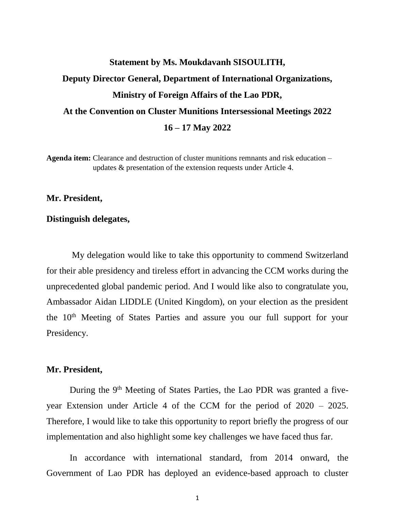# **Statement by Ms. Moukdavanh SISOULITH, Deputy Director General, Department of International Organizations, Ministry of Foreign Affairs of the Lao PDR, At the Convention on Cluster Munitions Intersessional Meetings 2022 16 – 17 May 2022**

**Agenda item:** Clearance and destruction of cluster munitions remnants and risk education – updates & presentation of the extension requests under Article 4.

#### **Mr. President,**

#### **Distinguish delegates,**

My delegation would like to take this opportunity to commend Switzerland for their able presidency and tireless effort in advancing the CCM works during the unprecedented global pandemic period. And I would like also to congratulate you, Ambassador Aidan LIDDLE (United Kingdom), on your election as the president the 10<sup>th</sup> Meeting of States Parties and assure you our full support for your Presidency.

### **Mr. President,**

During the  $9<sup>th</sup>$  Meeting of States Parties, the Lao PDR was granted a fiveyear Extension under Article 4 of the CCM for the period of 2020 – 2025. Therefore, I would like to take this opportunity to report briefly the progress of our implementation and also highlight some key challenges we have faced thus far.

In accordance with international standard, from 2014 onward, the Government of Lao PDR has deployed an evidence-based approach to cluster

1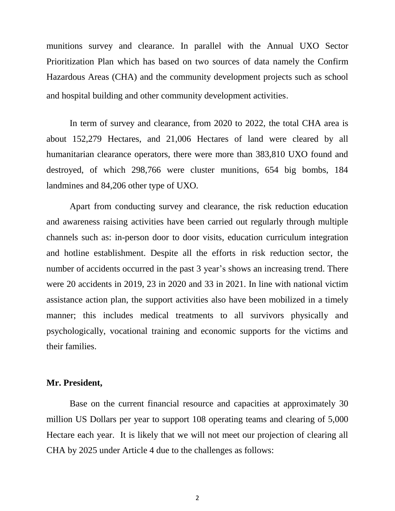munitions survey and clearance. In parallel with the Annual UXO Sector Prioritization Plan which has based on two sources of data namely the Confirm Hazardous Areas (CHA) and the community development projects such as school and hospital building and other community development activities.

In term of survey and clearance, from 2020 to 2022, the total CHA area is about 152,279 Hectares, and 21,006 Hectares of land were cleared by all humanitarian clearance operators, there were more than 383,810 UXO found and destroyed, of which 298,766 were cluster munitions, 654 big bombs, 184 landmines and 84,206 other type of UXO.

Apart from conducting survey and clearance, the risk reduction education and awareness raising activities have been carried out regularly through multiple channels such as: in-person door to door visits, education curriculum integration and hotline establishment. Despite all the efforts in risk reduction sector, the number of accidents occurred in the past 3 year's shows an increasing trend. There were 20 accidents in 2019, 23 in 2020 and 33 in 2021. In line with national victim assistance action plan, the support activities also have been mobilized in a timely manner; this includes medical treatments to all survivors physically and psychologically, vocational training and economic supports for the victims and their families.

### **Mr. President,**

Base on the current financial resource and capacities at approximately 30 million US Dollars per year to support 108 operating teams and clearing of 5,000 Hectare each year. It is likely that we will not meet our projection of clearing all CHA by 2025 under Article 4 due to the challenges as follows: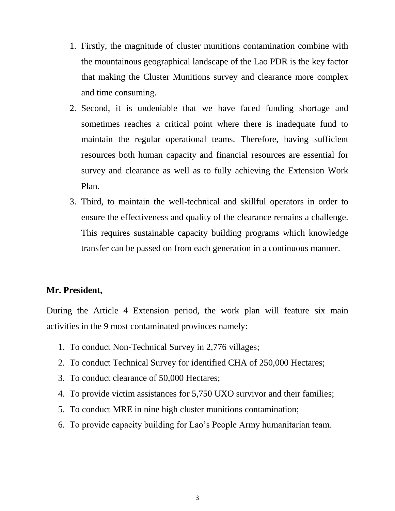- 1. Firstly, the magnitude of cluster munitions contamination combine with the mountainous geographical landscape of the Lao PDR is the key factor that making the Cluster Munitions survey and clearance more complex and time consuming.
- 2. Second, it is undeniable that we have faced funding shortage and sometimes reaches a critical point where there is inadequate fund to maintain the regular operational teams. Therefore, having sufficient resources both human capacity and financial resources are essential for survey and clearance as well as to fully achieving the Extension Work Plan.
- 3. Third, to maintain the well-technical and skillful operators in order to ensure the effectiveness and quality of the clearance remains a challenge. This requires sustainable capacity building programs which knowledge transfer can be passed on from each generation in a continuous manner.

## **Mr. President,**

During the Article 4 Extension period, the work plan will feature six main activities in the 9 most contaminated provinces namely:

- 1. To conduct Non-Technical Survey in 2,776 villages;
- 2. To conduct Technical Survey for identified CHA of 250,000 Hectares;
- 3. To conduct clearance of 50,000 Hectares;
- 4. To provide victim assistances for 5,750 UXO survivor and their families;
- 5. To conduct MRE in nine high cluster munitions contamination;
- 6. To provide capacity building for Lao's People Army humanitarian team.